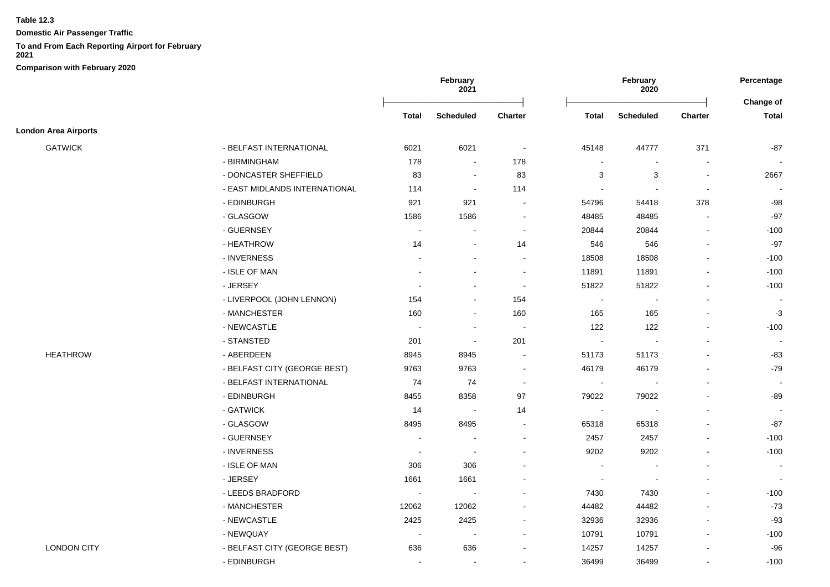**Domestic Air Passenger Traffic**

# **To and From Each Reporting Airport for February**

|                             |                               |                          | February<br>2021         |                          |                | February<br>2020          |                          | Percentage     |  |
|-----------------------------|-------------------------------|--------------------------|--------------------------|--------------------------|----------------|---------------------------|--------------------------|----------------|--|
|                             |                               |                          |                          |                          |                |                           |                          | Change of      |  |
|                             |                               | <b>Total</b>             | <b>Scheduled</b>         | <b>Charter</b>           | <b>Total</b>   | <b>Scheduled</b>          | <b>Charter</b>           | <b>Total</b>   |  |
| <b>London Area Airports</b> |                               |                          |                          |                          |                |                           |                          |                |  |
| <b>GATWICK</b>              | - BELFAST INTERNATIONAL       | 6021                     | 6021                     | $\sim$                   | 45148          | 44777                     | 371                      | -87            |  |
|                             | - BIRMINGHAM                  | 178                      | $\sim$                   | 178                      | $\blacksquare$ | $\overline{\phantom{a}}$  | $\blacksquare$           |                |  |
|                             | - DONCASTER SHEFFIELD         | 83                       | $\overline{\phantom{a}}$ | 83                       | 3              | $\ensuremath{\mathsf{3}}$ | $\blacksquare$           | 2667           |  |
|                             | - EAST MIDLANDS INTERNATIONAL | 114                      | $\blacksquare$           | 114                      | $\blacksquare$ | $\blacksquare$            | $\blacksquare$           |                |  |
|                             | - EDINBURGH                   | 921                      | 921                      | $\blacksquare$           | 54796          | 54418                     | 378                      | $-98$          |  |
|                             | - GLASGOW                     | 1586                     | 1586                     | $\overline{\phantom{a}}$ | 48485          | 48485                     | $\blacksquare$           | $-97$          |  |
|                             | - GUERNSEY                    | $\sim$                   | $\blacksquare$           | $\blacksquare$           | 20844          | 20844                     | $\blacksquare$           | $-100$         |  |
|                             | - HEATHROW                    | 14                       | $\sim$                   | 14                       | 546            | 546                       |                          | $-97$          |  |
|                             | - INVERNESS                   |                          | $\overline{a}$           | $\overline{a}$           | 18508          | 18508                     |                          | $-100$         |  |
|                             | - ISLE OF MAN                 |                          |                          | $\blacksquare$           | 11891          | 11891                     |                          | $-100$         |  |
|                             | - JERSEY                      |                          |                          | $\blacksquare$           | 51822          | 51822                     |                          | $-100$         |  |
|                             | - LIVERPOOL (JOHN LENNON)     | 154                      | $\blacksquare$           | 154                      | $\blacksquare$ | $\overline{\phantom{a}}$  | $\blacksquare$           |                |  |
|                             | - MANCHESTER                  | 160                      | $\blacksquare$           | 160                      | 165            | 165                       |                          | $-3$           |  |
|                             | - NEWCASTLE                   |                          | $\overline{\phantom{a}}$ | $\overline{\phantom{a}}$ | 122            | 122                       |                          | $-100$         |  |
|                             | - STANSTED                    | 201                      | $\overline{\phantom{a}}$ | 201                      | $\blacksquare$ | $\overline{\phantom{a}}$  |                          | $\blacksquare$ |  |
| <b>HEATHROW</b>             | - ABERDEEN                    | 8945                     | 8945                     | $\sim$                   | 51173          | 51173                     | $\overline{\phantom{a}}$ | -83            |  |
|                             | - BELFAST CITY (GEORGE BEST)  | 9763                     | 9763                     | $\blacksquare$           | 46179          | 46179                     |                          | -79            |  |
|                             | - BELFAST INTERNATIONAL       | 74                       | 74                       | $\blacksquare$           | $\sim$         | $\overline{\phantom{a}}$  |                          |                |  |
|                             | - EDINBURGH                   | 8455                     | 8358                     | 97                       | 79022          | 79022                     |                          | -89            |  |
|                             | - GATWICK                     | 14                       | $\overline{\phantom{a}}$ | 14                       | $\blacksquare$ |                           |                          |                |  |
|                             | - GLASGOW                     | 8495                     | 8495                     |                          | 65318          | 65318                     |                          | $-87$          |  |
|                             | - GUERNSEY                    | $\sim$                   |                          | $\overline{a}$           | 2457           | 2457                      |                          | $-100$         |  |
|                             | - INVERNESS                   | $\overline{\phantom{a}}$ |                          | ÷,                       | 9202           | 9202                      |                          | $-100$         |  |
|                             | - ISLE OF MAN                 | 306                      | 306                      |                          | $\overline{a}$ |                           |                          |                |  |
|                             | - JERSEY                      | 1661                     | 1661                     |                          | $\blacksquare$ | $\overline{\phantom{a}}$  |                          | $\sim$         |  |
|                             | - LEEDS BRADFORD              | $\sim$                   | $\sim$                   | $\overline{a}$           | 7430           | 7430                      |                          | $-100$         |  |
|                             | - MANCHESTER                  | 12062                    | 12062                    | $\blacksquare$           | 44482          | 44482                     |                          | $-73$          |  |
|                             | - NEWCASTLE                   | 2425                     | 2425                     | $\blacksquare$           | 32936          | 32936                     | $\blacksquare$           | $-93$          |  |
|                             | - NEWQUAY                     | $\overline{\phantom{a}}$ | $\sim$                   | $\overline{\phantom{a}}$ | 10791          | 10791                     |                          | $-100$         |  |
| <b>LONDON CITY</b>          | - BELFAST CITY (GEORGE BEST)  | 636                      | 636                      |                          | 14257          | 14257                     |                          | $-96$          |  |
|                             | - EDINBURGH                   | $\overline{a}$           | $\overline{a}$           | $\overline{a}$           | 36499          | 36499                     |                          | $-100$         |  |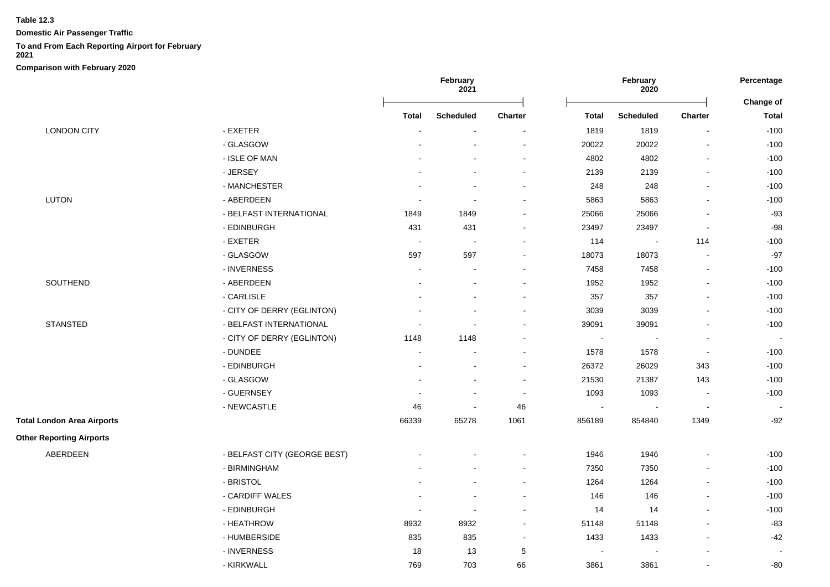**Domestic Air Passenger Traffic**

# **To and From Each Reporting Airport for February**

**2021**

|                                   |                              | February<br>2021         |                          |                          | February<br>2020         |                             |                          |                           |
|-----------------------------------|------------------------------|--------------------------|--------------------------|--------------------------|--------------------------|-----------------------------|--------------------------|---------------------------|
|                                   |                              | <b>Total</b>             | <b>Scheduled</b>         | <b>Charter</b>           | <b>Total</b>             | <b>Scheduled</b>            | Charter                  | Change of<br><b>Total</b> |
| <b>LONDON CITY</b>                | - EXETER                     |                          |                          |                          | 1819                     | 1819                        | $\overline{a}$           | $-100$                    |
|                                   | - GLASGOW                    |                          |                          | $\ddot{\phantom{a}}$     | 20022                    | 20022                       |                          | $-100$                    |
|                                   | - ISLE OF MAN                |                          |                          | $\ddot{\phantom{a}}$     | 4802                     | 4802                        | $\overline{a}$           | $-100$                    |
|                                   | - JERSEY                     |                          | ٠                        | $\blacksquare$           | 2139                     | 2139                        | $\overline{a}$           | $-100$                    |
|                                   | - MANCHESTER                 |                          | ٠                        | $\sim$                   | 248                      | 248                         | $\blacksquare$           | $-100$                    |
| <b>LUTON</b>                      | - ABERDEEN                   | $\sim$                   | ÷,                       | $\overline{\phantom{a}}$ | 5863                     | 5863                        | $\overline{\phantom{a}}$ | $-100$                    |
|                                   | - BELFAST INTERNATIONAL      | 1849                     | 1849                     | $\blacksquare$           | 25066                    | 25066                       | $\overline{\phantom{a}}$ | $-93$                     |
|                                   | - EDINBURGH                  | 431                      | 431                      | $\blacksquare$           | 23497                    | 23497                       | $\blacksquare$           | $-98$                     |
|                                   | - EXETER                     | $\sim$                   | $\sim$                   | $\overline{a}$           | 114                      | $\mathcal{L}_{\mathcal{A}}$ | 114                      | $-100$                    |
|                                   | - GLASGOW                    | 597                      | 597                      | $\overline{\phantom{a}}$ | 18073                    | 18073                       | $\overline{a}$           | $-97$                     |
|                                   | - INVERNESS                  | $\blacksquare$           | $\overline{\phantom{a}}$ | $\overline{a}$           | 7458                     | 7458                        |                          | $-100$                    |
| SOUTHEND                          | - ABERDEEN                   |                          | ÷.                       | $\sim$                   | 1952                     | 1952                        | $\overline{a}$           | $-100$                    |
|                                   | - CARLISLE                   |                          |                          | $\blacksquare$           | 357                      | 357                         | $\overline{a}$           | $-100$                    |
|                                   | - CITY OF DERRY (EGLINTON)   |                          | ä,                       | ÷                        | 3039                     | 3039                        | $\blacksquare$           | $-100$                    |
| <b>STANSTED</b>                   | - BELFAST INTERNATIONAL      |                          | $\overline{\phantom{a}}$ |                          | 39091                    | 39091                       | $\overline{a}$           | $-100$                    |
|                                   | - CITY OF DERRY (EGLINTON)   | 1148                     | 1148                     | $\sim$                   | $\blacksquare$           | $\blacksquare$              | $\blacksquare$           |                           |
|                                   | - DUNDEE                     | $\overline{a}$           | $\sim$                   | $\sim$                   | 1578                     | 1578                        | $\blacksquare$           | $-100$                    |
|                                   | - EDINBURGH                  |                          |                          | $\blacksquare$           | 26372                    | 26029                       | 343                      | $-100$                    |
|                                   | - GLASGOW                    | $\blacksquare$           | $\blacksquare$           | $\overline{\phantom{a}}$ | 21530                    | 21387                       | 143                      | $-100$                    |
|                                   | - GUERNSEY                   | $\overline{a}$           | $\blacksquare$           | $\overline{\phantom{a}}$ | 1093                     | 1093                        | $\blacksquare$           | $-100$                    |
|                                   | - NEWCASTLE                  | 46                       | $\sim$                   | 46                       | $\overline{\phantom{a}}$ |                             | $\blacksquare$           | $\sim$                    |
| <b>Total London Area Airports</b> |                              | 66339                    | 65278                    | 1061                     | 856189                   | 854840                      | 1349                     | $-92$                     |
| <b>Other Reporting Airports</b>   |                              |                          |                          |                          |                          |                             |                          |                           |
| ABERDEEN                          | - BELFAST CITY (GEORGE BEST) |                          |                          | $\blacksquare$           | 1946                     | 1946                        |                          | $-100$                    |
|                                   | - BIRMINGHAM                 |                          |                          | $\sim$                   | 7350                     | 7350                        | $\overline{a}$           | $-100$                    |
|                                   | - BRISTOL                    |                          |                          | $\blacksquare$           | 1264                     | 1264                        | $\overline{a}$           | $-100$                    |
|                                   | - CARDIFF WALES              | $\overline{\phantom{a}}$ | $\blacksquare$           | $\blacksquare$           | 146                      | 146                         | $\overline{a}$           | $-100$                    |
|                                   | - EDINBURGH                  | $\blacksquare$           | $\blacksquare$           | $\blacksquare$           | 14                       | 14                          | $\overline{a}$           | $-100$                    |
|                                   | - HEATHROW                   | 8932                     | 8932                     | $\blacksquare$           | 51148                    | 51148                       | $\overline{a}$           | $-83$                     |
|                                   | - HUMBERSIDE                 | 835                      | 835                      | $\sim$                   | 1433                     | 1433                        | $\overline{a}$           | $-42$                     |
|                                   | - INVERNESS                  | 18                       | 13                       | $\sqrt{5}$               |                          |                             |                          |                           |
|                                   | - KIRKWALL                   | 769                      | 703                      | 66                       | 3861                     | 3861                        |                          | $-80$                     |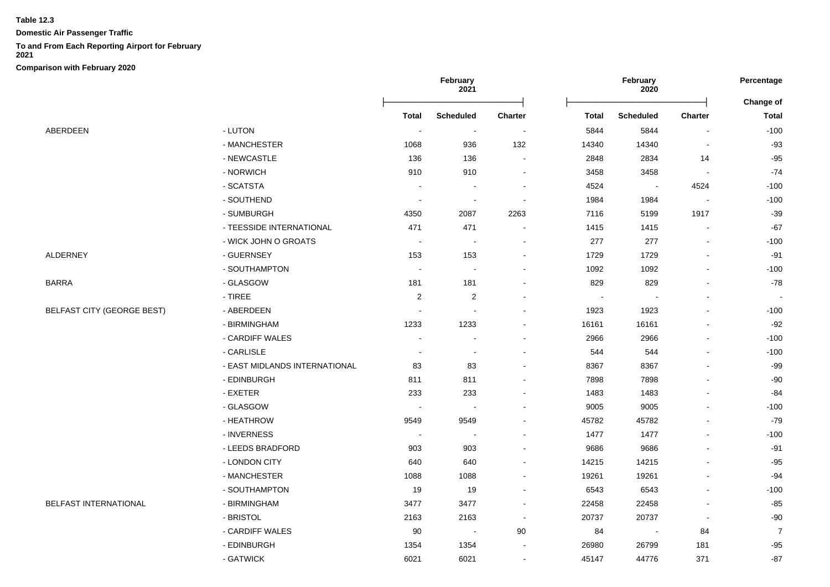**Domestic Air Passenger Traffic**

## **To and From Each Reporting Airport for February**

**2021**

|                                   |                               | February<br>2021         |                          | February<br>2020 |                          |                          | Percentage     |                           |
|-----------------------------------|-------------------------------|--------------------------|--------------------------|------------------|--------------------------|--------------------------|----------------|---------------------------|
|                                   |                               | <b>Total</b>             | <b>Scheduled</b>         | <b>Charter</b>   | <b>Total</b>             | <b>Scheduled</b>         | Charter        | Change of<br><b>Total</b> |
| ABERDEEN                          | - LUTON                       | $\sim$                   | $\sim$                   |                  | 5844                     | 5844                     |                | $-100$                    |
|                                   | - MANCHESTER                  | 1068                     | 936                      | 132              | 14340                    | 14340                    |                | $-93$                     |
|                                   | - NEWCASTLE                   | 136                      | 136                      |                  | 2848                     | 2834                     | 14             | $-95$                     |
|                                   | - NORWICH                     | 910                      | 910                      |                  | 3458                     | 3458                     |                | $-74$                     |
|                                   | - SCATSTA                     | $\overline{\phantom{a}}$ |                          |                  | 4524                     | $\overline{\phantom{a}}$ | 4524           | $-100$                    |
|                                   | - SOUTHEND                    | $\overline{\phantom{a}}$ | $\sim$                   |                  | 1984                     | 1984                     |                | $-100$                    |
|                                   | - SUMBURGH                    | 4350                     | 2087                     | 2263             | 7116                     | 5199                     | 1917           | $-39$                     |
|                                   | - TEESSIDE INTERNATIONAL      | 471                      | 471                      |                  | 1415                     | 1415                     | $\blacksquare$ | $-67$                     |
|                                   | - WICK JOHN O GROATS          | $\overline{\phantom{a}}$ | $\overline{\phantom{a}}$ |                  | 277                      | 277                      |                | $-100$                    |
| <b>ALDERNEY</b>                   | - GUERNSEY                    | 153                      | 153                      |                  | 1729                     | 1729                     |                | $-91$                     |
|                                   | - SOUTHAMPTON                 | $\sim$                   | $\sim$                   |                  | 1092                     | 1092                     |                | $-100$                    |
| <b>BARRA</b>                      | - GLASGOW                     | 181                      | 181                      |                  | 829                      | 829                      |                | $-78$                     |
|                                   | $-$ TIREE                     | $\overline{2}$           | $\overline{c}$           |                  | $\overline{\phantom{a}}$ | $\blacksquare$           |                | $\sim$                    |
| <b>BELFAST CITY (GEORGE BEST)</b> | - ABERDEEN                    | $\overline{\phantom{a}}$ | $\sim$                   |                  | 1923                     | 1923                     |                | $-100$                    |
|                                   | - BIRMINGHAM                  | 1233                     | 1233                     |                  | 16161                    | 16161                    |                | $-92$                     |
|                                   | - CARDIFF WALES               | $\sim$                   | $\overline{\phantom{a}}$ |                  | 2966                     | 2966                     | $\blacksquare$ | $-100$                    |
|                                   | - CARLISLE                    | $\overline{\phantom{a}}$ | $\blacksquare$           |                  | 544                      | 544                      |                | $-100$                    |
|                                   | - EAST MIDLANDS INTERNATIONAL | 83                       | 83                       |                  | 8367                     | 8367                     |                | -99                       |
|                                   | - EDINBURGH                   | 811                      | 811                      |                  | 7898                     | 7898                     |                | $-90$                     |
|                                   | - EXETER                      | 233                      | 233                      |                  | 1483                     | 1483                     |                | -84                       |
|                                   | - GLASGOW                     | $\overline{\phantom{a}}$ | $\sim$                   |                  | 9005                     | 9005                     |                | $-100$                    |
|                                   | - HEATHROW                    | 9549                     | 9549                     |                  | 45782                    | 45782                    |                | $-79$                     |
|                                   | - INVERNESS                   | $\overline{\phantom{a}}$ | $\overline{\phantom{a}}$ |                  | 1477                     | 1477                     |                | $-100$                    |
|                                   | - LEEDS BRADFORD              | 903                      | 903                      |                  | 9686                     | 9686                     |                | $-91$                     |
|                                   | - LONDON CITY                 | 640                      | 640                      |                  | 14215                    | 14215                    |                | $-95$                     |
|                                   | - MANCHESTER                  | 1088                     | 1088                     |                  | 19261                    | 19261                    |                | $-94$                     |
|                                   | - SOUTHAMPTON                 | 19                       | 19                       |                  | 6543                     | 6543                     |                | $-100$                    |
| <b>BELFAST INTERNATIONAL</b>      | - BIRMINGHAM                  | 3477                     | 3477                     |                  | 22458                    | 22458                    |                | $-85$                     |
|                                   | - BRISTOL                     | 2163                     | 2163                     | $\sim$           | 20737                    | 20737                    | $\blacksquare$ | -90                       |
|                                   | - CARDIFF WALES               | 90                       | $\sim$                   | 90               | 84                       | $\overline{\phantom{a}}$ | 84             | $\overline{7}$            |
|                                   | - EDINBURGH                   | 1354                     | 1354                     |                  | 26980                    | 26799                    | 181            | $-95$                     |
|                                   | - GATWICK                     | 6021                     | 6021                     |                  | 45147                    | 44776                    | 371            | $-87$                     |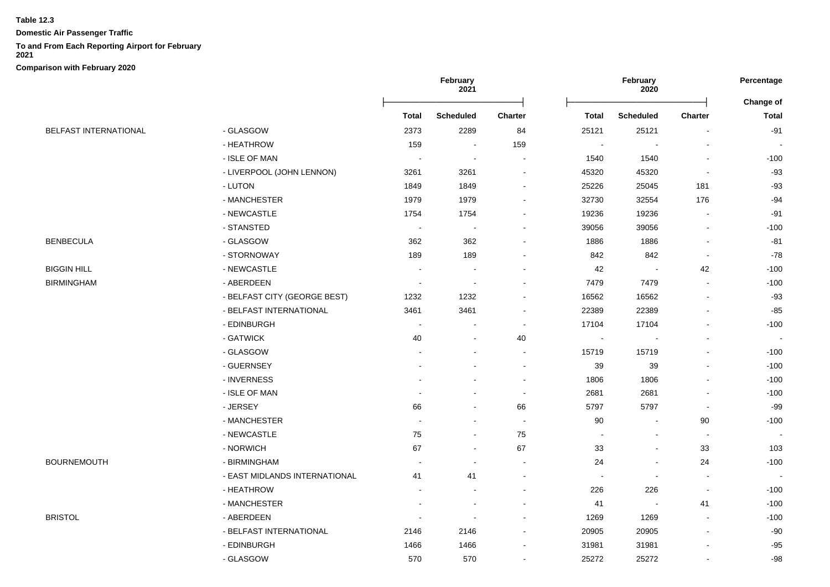**Domestic Air Passenger Traffic**

#### **To and From Each Reporting Airport for February**

**2021**

|                              |                               | February<br>2021         |                          | February<br>2020         |                          |                          | Percentage               |                                  |
|------------------------------|-------------------------------|--------------------------|--------------------------|--------------------------|--------------------------|--------------------------|--------------------------|----------------------------------|
|                              |                               | Total                    | <b>Scheduled</b>         | Charter                  | <b>Total</b>             | <b>Scheduled</b>         | Charter                  | <b>Change of</b><br><b>Total</b> |
| <b>BELFAST INTERNATIONAL</b> | - GLASGOW                     | 2373                     | 2289                     | 84                       | 25121                    | 25121                    |                          | $-91$                            |
|                              | - HEATHROW                    | 159                      | $\blacksquare$           | 159                      |                          |                          |                          |                                  |
|                              | - ISLE OF MAN                 | $\sim$                   | $\overline{\phantom{a}}$ | $\blacksquare$           | 1540                     | 1540                     |                          | $-100$                           |
|                              | - LIVERPOOL (JOHN LENNON)     | 3261                     | 3261                     | $\blacksquare$           | 45320                    | 45320                    |                          | -93                              |
|                              | - LUTON                       | 1849                     | 1849                     | $\overline{a}$           | 25226                    | 25045                    | 181                      | $-93$                            |
|                              | - MANCHESTER                  | 1979                     | 1979                     | $\overline{\phantom{a}}$ | 32730                    | 32554                    | 176                      | $-94$                            |
|                              | - NEWCASTLE                   | 1754                     | 1754                     |                          | 19236                    | 19236                    |                          | -91                              |
|                              | - STANSTED                    | $\sim$                   | $\ddot{\phantom{a}}$     |                          | 39056                    | 39056                    |                          | $-100$                           |
| <b>BENBECULA</b>             | - GLASGOW                     | 362                      | 362                      |                          | 1886                     | 1886                     |                          | -81                              |
|                              | - STORNOWAY                   | 189                      | 189                      |                          | 842                      | 842                      |                          | $-78$                            |
| <b>BIGGIN HILL</b>           | - NEWCASTLE                   |                          |                          | $\blacksquare$           | 42                       | $\overline{\phantom{a}}$ | 42                       | $-100$                           |
| <b>BIRMINGHAM</b>            | - ABERDEEN                    | ÷,                       | $\blacksquare$           | $\blacksquare$           | 7479                     | 7479                     |                          | $-100$                           |
|                              | - BELFAST CITY (GEORGE BEST)  | 1232                     | 1232                     | $\blacksquare$           | 16562                    | 16562                    |                          | $-93$                            |
|                              | - BELFAST INTERNATIONAL       | 3461                     | 3461                     | $\blacksquare$           | 22389                    | 22389                    |                          | $-85$                            |
|                              | - EDINBURGH                   | $\sim$                   | $\blacksquare$           | $\blacksquare$           | 17104                    | 17104                    |                          | $-100$                           |
|                              | - GATWICK                     | $40\,$                   | $\overline{a}$           | 40                       | $\sim$                   | $\overline{a}$           |                          | $\sim$                           |
|                              | - GLASGOW                     |                          | $\blacksquare$           | $\overline{a}$           | 15719                    | 15719                    |                          | $-100$                           |
|                              | - GUERNSEY                    |                          |                          | $\blacksquare$           | 39                       | 39                       |                          | $-100$                           |
|                              | - INVERNESS                   |                          |                          | $\overline{\phantom{a}}$ | 1806                     | 1806                     |                          | $-100$                           |
|                              | - ISLE OF MAN                 |                          |                          | $\overline{\phantom{a}}$ | 2681                     | 2681                     |                          | $-100$                           |
|                              | - JERSEY                      | 66                       | $\blacksquare$           | 66                       | 5797                     | 5797                     |                          | $-99$                            |
|                              | - MANCHESTER                  | $\blacksquare$           |                          | $\overline{\phantom{a}}$ | 90                       | $\blacksquare$           | 90                       | $-100$                           |
|                              | - NEWCASTLE                   | 75                       |                          | 75                       | $\blacksquare$           | $\blacksquare$           | $\overline{\phantom{a}}$ | $\sim$                           |
|                              | - NORWICH                     | 67                       |                          | 67                       | 33                       | $\blacksquare$           | 33                       | 103                              |
| BOURNEMOUTH                  | - BIRMINGHAM                  | $\overline{\phantom{a}}$ | $\overline{a}$           | $\overline{a}$           | 24                       | $\overline{\phantom{a}}$ | 24                       | $-100$                           |
|                              | - EAST MIDLANDS INTERNATIONAL | 41                       | 41                       | $\overline{a}$           | $\overline{\phantom{a}}$ | $\blacksquare$           |                          |                                  |
|                              | - HEATHROW                    |                          |                          | $\blacksquare$           | 226                      | 226                      | $\blacksquare$           | $-100$                           |
|                              | - MANCHESTER                  |                          |                          |                          | 41                       | $\overline{\phantom{a}}$ | 41                       | $-100$                           |
| <b>BRISTOL</b>               | - ABERDEEN                    | $\overline{\phantom{a}}$ | $\overline{\phantom{a}}$ | $\blacksquare$           | 1269                     | 1269                     |                          | $-100$                           |
|                              | - BELFAST INTERNATIONAL       | 2146                     | 2146                     |                          | 20905                    | 20905                    |                          | $-90$                            |
|                              | - EDINBURGH                   | 1466                     | 1466                     |                          | 31981                    | 31981                    |                          | $-95$                            |
|                              | - GLASGOW                     | 570                      | 570                      | $\blacksquare$           | 25272                    | 25272                    |                          | $-98$                            |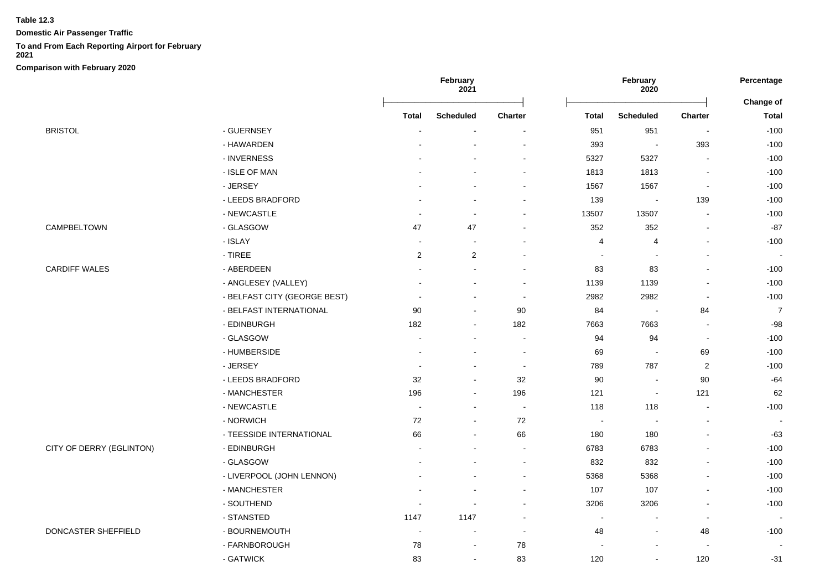**Domestic Air Passenger Traffic**

#### **To and From Each Reporting Airport for February**

**2021**

|                          |                                  | February<br>2021 |                  |                          |                | February<br>2020         |                          | Percentage<br><b>Change of</b> |
|--------------------------|----------------------------------|------------------|------------------|--------------------------|----------------|--------------------------|--------------------------|--------------------------------|
|                          |                                  | Total            | <b>Scheduled</b> | Charter                  | <b>Total</b>   | <b>Scheduled</b>         | Charter                  | <b>Total</b>                   |
| <b>BRISTOL</b>           | - GUERNSEY                       |                  |                  |                          | 951            | 951                      |                          | $-100$                         |
|                          | - HAWARDEN                       |                  |                  |                          | 393            | $\blacksquare$           | 393                      | $-100$                         |
|                          | - INVERNESS                      |                  |                  | $\overline{\phantom{a}}$ | 5327           | 5327                     |                          | $-100$                         |
|                          | - ISLE OF MAN                    |                  |                  | $\blacksquare$           | 1813           | 1813                     |                          | $-100$                         |
|                          | - JERSEY                         |                  |                  |                          | 1567           | 1567                     |                          | $-100$                         |
|                          | - LEEDS BRADFORD                 |                  |                  | $\overline{a}$           | 139            | $\blacksquare$           | 139                      | $-100$                         |
|                          | - NEWCASTLE                      | $\blacksquare$   | $\blacksquare$   | $\overline{\phantom{a}}$ | 13507          | 13507                    |                          | $-100$                         |
| CAMPBELTOWN              | - GLASGOW                        | 47               | 47               |                          | 352            | 352                      |                          | $-87$                          |
|                          | - ISLAY                          | $\blacksquare$   |                  |                          | $\overline{4}$ | 4                        |                          | $-100$                         |
|                          | $\overline{\phantom{a}}$ - TIREE | $\overline{2}$   | $\overline{2}$   |                          |                |                          |                          |                                |
| <b>CARDIFF WALES</b>     | - ABERDEEN                       |                  | ÷                | $\overline{\phantom{a}}$ | 83             | 83                       |                          | $-100$                         |
|                          | - ANGLESEY (VALLEY)              |                  | $\blacksquare$   | $\overline{\phantom{a}}$ | 1139           | 1139                     |                          | $-100$                         |
|                          | - BELFAST CITY (GEORGE BEST)     |                  | ۰                | $\overline{\phantom{a}}$ | 2982           | 2982                     | $\overline{\phantom{a}}$ | $-100$                         |
|                          | - BELFAST INTERNATIONAL          | 90               | ä,               | 90                       | 84             | $\overline{\phantom{a}}$ | 84                       | $\overline{7}$                 |
|                          | - EDINBURGH                      | 182              | $\blacksquare$   | 182                      | 7663           | 7663                     | $\overline{\phantom{a}}$ | $-98$                          |
|                          | - GLASGOW                        |                  |                  | $\blacksquare$           | 94             | 94                       | $\blacksquare$           | $-100$                         |
|                          | - HUMBERSIDE                     |                  |                  | $\overline{a}$           | 69             | $\blacksquare$           | 69                       | $-100$                         |
|                          | - JERSEY                         |                  |                  | $\overline{\phantom{a}}$ | 789            | 787                      | $\overline{c}$           | $-100$                         |
|                          | - LEEDS BRADFORD                 | 32               | ۰                | 32                       | 90             | $\overline{\phantom{a}}$ | 90                       | $-64$                          |
|                          | - MANCHESTER                     | 196              | ä,               | 196                      | 121            | $\overline{\phantom{a}}$ | 121                      | 62                             |
|                          | - NEWCASTLE                      | $\sim$           | ۰                | $\overline{\phantom{a}}$ | 118            | 118                      | $\overline{\phantom{a}}$ | $-100$                         |
|                          | - NORWICH                        | 72               | $\blacksquare$   | 72                       | $\sim$         | $\blacksquare$           |                          | $\sim$                         |
|                          | - TEESSIDE INTERNATIONAL         | 66               | ۰                | 66                       | 180            | 180                      |                          | $-63$                          |
| CITY OF DERRY (EGLINTON) | - EDINBURGH                      | $\sim$           | ÷                | $\blacksquare$           | 6783           | 6783                     |                          | $-100$                         |
|                          | - GLASGOW                        |                  |                  | $\overline{\phantom{a}}$ | 832            | 832                      |                          | $-100$                         |
|                          | - LIVERPOOL (JOHN LENNON)        |                  |                  | $\overline{a}$           | 5368           | 5368                     |                          | $-100$                         |
|                          | - MANCHESTER                     |                  |                  | $\overline{a}$           | 107            | 107                      |                          | $-100$                         |
|                          | - SOUTHEND                       | $\blacksquare$   | $\sim$           | $\blacksquare$           | 3206           | 3206                     |                          | $-100$                         |
|                          | - STANSTED                       | 1147             | 1147             | $\overline{\phantom{a}}$ | $\blacksquare$ | $\blacksquare$           | $\overline{\phantom{a}}$ |                                |
| DONCASTER SHEFFIELD      | - BOURNEMOUTH                    | $\blacksquare$   | $\blacksquare$   | $\blacksquare$           | 48             | $\blacksquare$           | 48                       | $-100$                         |
|                          | - FARNBOROUGH                    | 78               | ۰                | 78                       |                |                          |                          |                                |
|                          | - GATWICK                        | 83               | $\blacksquare$   | 83                       | 120            | $\sim$                   | 120                      | $-31$                          |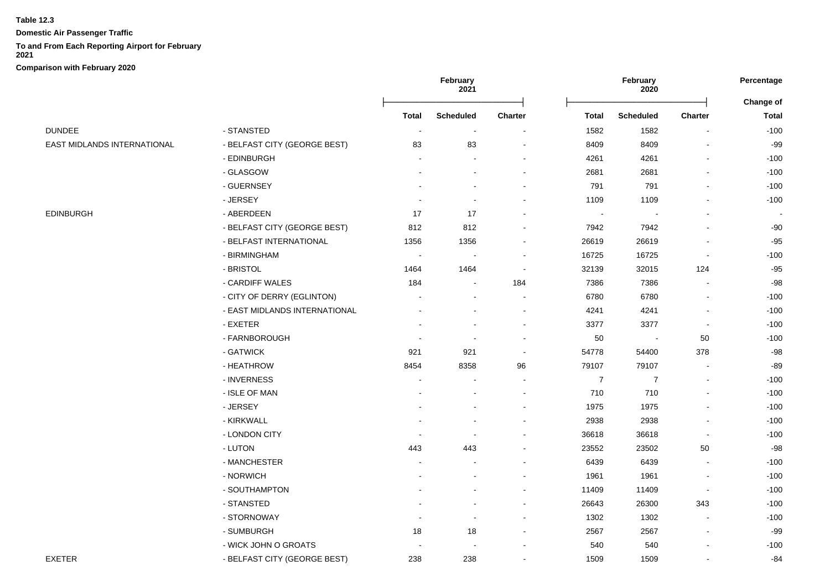**Domestic Air Passenger Traffic**

# **To and From Each Reporting Airport for February**

**2021**

|                             |                               | February<br>2021         |                  |         | February<br>2020         |                  |                          |              |
|-----------------------------|-------------------------------|--------------------------|------------------|---------|--------------------------|------------------|--------------------------|--------------|
|                             |                               |                          |                  |         |                          |                  |                          | Change of    |
|                             |                               | <b>Total</b>             | <b>Scheduled</b> | Charter | <b>Total</b>             | <b>Scheduled</b> | Charter                  | <b>Total</b> |
| <b>DUNDEE</b>               | - STANSTED                    | $\blacksquare$           | $\sim$           |         | 1582                     | 1582             |                          | $-100$       |
| EAST MIDLANDS INTERNATIONAL | - BELFAST CITY (GEORGE BEST)  | 83                       | 83               |         | 8409                     | 8409             |                          | $-99$        |
|                             | - EDINBURGH                   | $\overline{a}$           |                  |         | 4261                     | 4261             |                          | $-100$       |
|                             | - GLASGOW                     |                          |                  |         | 2681                     | 2681             |                          | $-100$       |
|                             | - GUERNSEY                    |                          |                  |         | 791                      | 791              |                          | $-100$       |
|                             | - JERSEY                      |                          |                  |         | 1109                     | 1109             |                          | $-100$       |
| EDINBURGH                   | - ABERDEEN                    | 17                       | 17               |         | $\overline{\phantom{a}}$ |                  |                          |              |
|                             | - BELFAST CITY (GEORGE BEST)  | 812                      | 812              |         | 7942                     | 7942             |                          | -90          |
|                             | - BELFAST INTERNATIONAL       | 1356                     | 1356             |         | 26619                    | 26619            |                          | $-95$        |
|                             | - BIRMINGHAM                  | $\overline{\phantom{a}}$ | $\sim$           |         | 16725                    | 16725            | $\blacksquare$           | $-100$       |
|                             | - BRISTOL                     | 1464                     | 1464             |         | 32139                    | 32015            | 124                      | $-95$        |
|                             | - CARDIFF WALES               | 184                      |                  | 184     | 7386                     | 7386             |                          | -98          |
|                             | - CITY OF DERRY (EGLINTON)    |                          |                  |         | 6780                     | 6780             |                          | $-100$       |
|                             | - EAST MIDLANDS INTERNATIONAL |                          |                  |         | 4241                     | 4241             |                          | $-100$       |
|                             | - EXETER                      |                          |                  |         | 3377                     | 3377             |                          | $-100$       |
|                             | - FARNBOROUGH                 |                          |                  |         | 50                       | $\blacksquare$   | 50                       | $-100$       |
|                             | - GATWICK                     | 921                      | 921              |         | 54778                    | 54400            | 378                      | $-98$        |
|                             | - HEATHROW                    | 8454                     | 8358             | 96      | 79107                    | 79107            | $\blacksquare$           | $-89$        |
|                             | - INVERNESS                   | $\overline{a}$           |                  |         | $\overline{7}$           | $\overline{7}$   | $\blacksquare$           | $-100$       |
|                             | - ISLE OF MAN                 |                          |                  |         | 710                      | 710              | $\blacksquare$           | $-100$       |
|                             | - JERSEY                      |                          |                  |         | 1975                     | 1975             |                          | $-100$       |
|                             | - KIRKWALL                    |                          |                  |         | 2938                     | 2938             |                          | $-100$       |
|                             | - LONDON CITY                 |                          |                  |         | 36618                    | 36618            |                          | $-100$       |
|                             | - LUTON                       | 443                      | 443              |         | 23552                    | 23502            | 50                       | $-98$        |
|                             | - MANCHESTER                  |                          |                  |         | 6439                     | 6439             | $\blacksquare$           | $-100$       |
|                             | - NORWICH                     |                          |                  |         | 1961                     | 1961             | $\blacksquare$           | $-100$       |
|                             | - SOUTHAMPTON                 |                          |                  |         | 11409                    | 11409            | $\overline{\phantom{a}}$ | $-100$       |
|                             | - STANSTED                    |                          |                  |         | 26643                    | 26300            | 343                      | $-100$       |
|                             | - STORNOWAY                   |                          |                  |         | 1302                     | 1302             |                          | $-100$       |
|                             | - SUMBURGH                    | 18                       | 18               |         | 2567                     | 2567             | $\blacksquare$           | $-99$        |
|                             | - WICK JOHN O GROATS          |                          |                  |         | 540                      | 540              |                          | $-100$       |
| EXETER                      | - BELFAST CITY (GEORGE BEST)  | 238                      | 238              |         | 1509                     | 1509             |                          | $-84$        |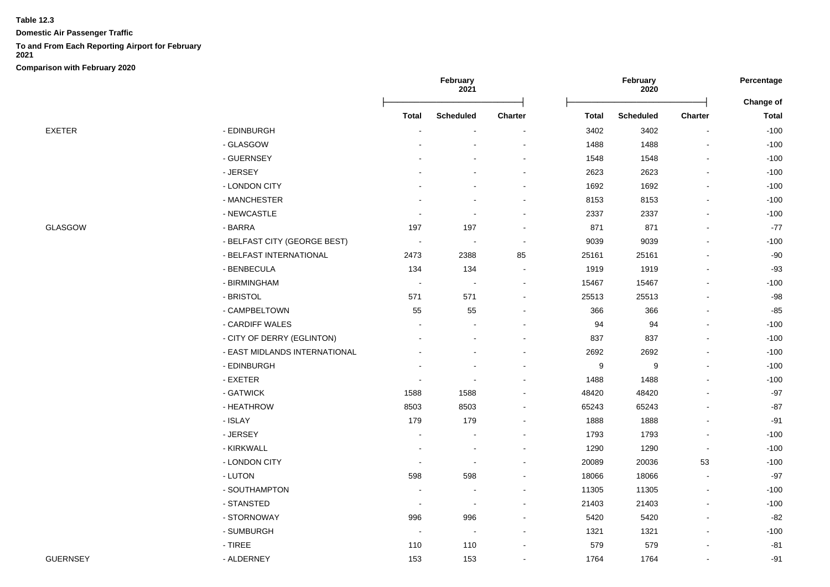**Domestic Air Passenger Traffic**

#### **To and From Each Reporting Airport for February**

**2021**

|                 |                               | February<br>2021         |                          |                          |                  | February<br>2020 | Percentage               |                           |
|-----------------|-------------------------------|--------------------------|--------------------------|--------------------------|------------------|------------------|--------------------------|---------------------------|
|                 |                               | <b>Total</b>             | <b>Scheduled</b>         | <b>Charter</b>           | <b>Total</b>     | <b>Scheduled</b> | <b>Charter</b>           | Change of<br><b>Total</b> |
| EXETER          | - EDINBURGH                   |                          |                          |                          | 3402             | 3402             |                          | $-100$                    |
|                 | - GLASGOW                     |                          |                          |                          | 1488             | 1488             |                          | $-100$                    |
|                 | - GUERNSEY                    |                          |                          | $\blacksquare$           | 1548             | 1548             | $\overline{\phantom{a}}$ | $-100$                    |
|                 | - JERSEY                      |                          |                          | $\sim$                   | 2623             | 2623             | $\overline{\phantom{a}}$ | $-100$                    |
|                 | - LONDON CITY                 |                          |                          |                          | 1692             | 1692             |                          | $-100$                    |
|                 | - MANCHESTER                  |                          |                          |                          | 8153             | 8153             |                          | $-100$                    |
|                 | - NEWCASTLE                   |                          |                          |                          | 2337             | 2337             |                          | $-100$                    |
| GLASGOW         | - BARRA                       | 197                      | 197                      | $\overline{a}$           | 871              | 871              |                          | $-77$                     |
|                 | - BELFAST CITY (GEORGE BEST)  | $\overline{\phantom{a}}$ | $\overline{\phantom{a}}$ |                          | 9039             | 9039             |                          | $-100$                    |
|                 | - BELFAST INTERNATIONAL       | 2473                     | 2388                     | 85                       | 25161            | 25161            |                          | $-90$                     |
|                 | - BENBECULA                   | 134                      | 134                      | $\overline{\phantom{a}}$ | 1919             | 1919             |                          | $-93$                     |
|                 | - BIRMINGHAM                  | $\sim$                   | $\overline{\phantom{a}}$ | $\blacksquare$           | 15467            | 15467            |                          | $-100$                    |
|                 | - BRISTOL                     | 571                      | 571                      |                          | 25513            | 25513            |                          | $-98$                     |
|                 | - CAMPBELTOWN                 | 55                       | 55                       | ٠                        | 366              | 366              | $\blacksquare$           | $-85$                     |
|                 | - CARDIFF WALES               | $\overline{a}$           |                          |                          | 94               | 94               | $\blacksquare$           | $-100$                    |
|                 | - CITY OF DERRY (EGLINTON)    |                          |                          |                          | 837              | 837              | $\sim$                   | $-100$                    |
|                 | - EAST MIDLANDS INTERNATIONAL |                          |                          |                          | 2692             | 2692             |                          | $-100$                    |
|                 | - EDINBURGH                   |                          |                          |                          | $\boldsymbol{9}$ | 9                |                          | $-100$                    |
|                 | - EXETER                      | $\overline{\phantom{a}}$ |                          | ٠                        | 1488             | 1488             |                          | $-100$                    |
|                 | - GATWICK                     | 1588                     | 1588                     |                          | 48420            | 48420            |                          | $-97$                     |
|                 | - HEATHROW                    | 8503                     | 8503                     |                          | 65243            | 65243            |                          | $-87$                     |
|                 | - ISLAY                       | 179                      | 179                      | $\sim$                   | 1888             | 1888             |                          | $-91$                     |
|                 | - JERSEY                      | $\blacksquare$           |                          |                          | 1793             | 1793             | $\overline{\phantom{a}}$ | $-100$                    |
|                 | - KIRKWALL                    |                          | $\blacksquare$           |                          | 1290             | 1290             | $\sim$                   | $-100$                    |
|                 | - LONDON CITY                 | $\overline{a}$           | $\overline{\phantom{a}}$ |                          | 20089            | 20036            | 53                       | $-100$                    |
|                 | - LUTON                       | 598                      | 598                      |                          | 18066            | 18066            |                          | $-97$                     |
|                 | - SOUTHAMPTON                 |                          | $\sim$                   | $\sim$                   | 11305            | 11305            | $\blacksquare$           | $-100$                    |
|                 | - STANSTED                    | $\sim$                   | ÷                        | $\sim$                   | 21403            | 21403            | $\sim$                   | $-100$                    |
|                 | - STORNOWAY                   | 996                      | 996                      |                          | 5420             | 5420             | $\sim$                   | $-82$                     |
|                 | - SUMBURGH                    | $\overline{\phantom{a}}$ | $\overline{\phantom{a}}$ | ٠                        | 1321             | 1321             |                          | $-100$                    |
|                 | $-$ TIREE                     | 110                      | 110                      |                          | 579              | 579              |                          | $-81$                     |
| <b>GUERNSEY</b> | - ALDERNEY                    | 153                      | 153                      |                          | 1764             | 1764             | $\sim$                   | $-91$                     |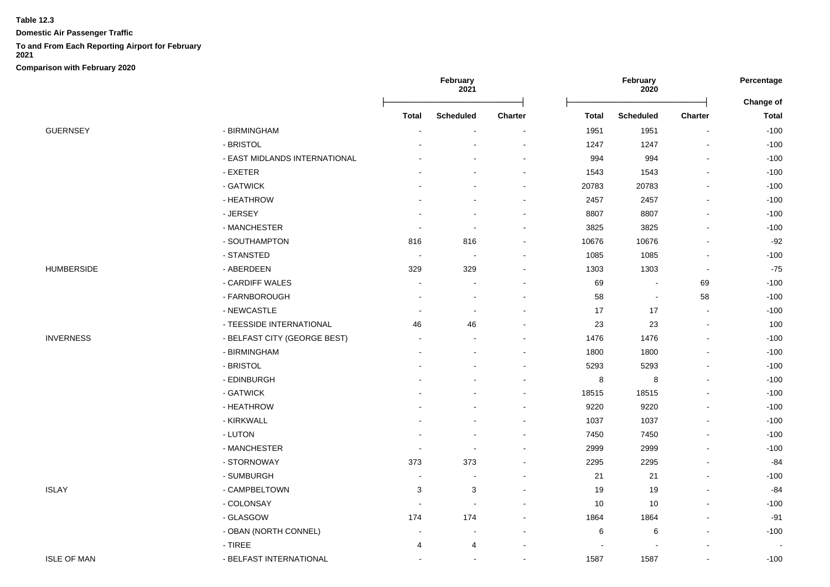**Domestic Air Passenger Traffic**

## **To and From Each Reporting Airport for February**

**2021**

|                    |                                  | February<br>2021         |                          |                | February<br>2020 | Percentage       |                |              |
|--------------------|----------------------------------|--------------------------|--------------------------|----------------|------------------|------------------|----------------|--------------|
|                    |                                  |                          |                          |                |                  |                  |                | Change of    |
|                    |                                  | <b>Total</b>             | <b>Scheduled</b>         | <b>Charter</b> | <b>Total</b>     | <b>Scheduled</b> | <b>Charter</b> | <b>Total</b> |
| <b>GUERNSEY</b>    | - BIRMINGHAM                     |                          |                          |                | 1951             | 1951             |                | $-100$       |
|                    | - BRISTOL                        |                          |                          |                | 1247             | 1247             |                | $-100$       |
|                    | - EAST MIDLANDS INTERNATIONAL    |                          |                          | ÷,             | 994              | 994              |                | $-100$       |
|                    | - EXETER                         |                          |                          |                | 1543             | 1543             |                | $-100$       |
|                    | - GATWICK                        |                          |                          |                | 20783            | 20783            |                | $-100$       |
|                    | - HEATHROW                       |                          |                          | $\blacksquare$ | 2457             | 2457             |                | $-100$       |
|                    | - JERSEY                         |                          |                          |                | 8807             | 8807             |                | $-100$       |
|                    | - MANCHESTER                     |                          | $\overline{\phantom{a}}$ |                | 3825             | 3825             |                | $-100$       |
|                    | - SOUTHAMPTON                    | 816                      | 816                      |                | 10676            | 10676            |                | $-92$        |
|                    | - STANSTED                       | $\overline{\phantom{a}}$ | $\overline{\phantom{a}}$ |                | 1085             | 1085             |                | $-100$       |
| <b>HUMBERSIDE</b>  | - ABERDEEN                       | 329                      | 329                      |                | 1303             | 1303             | $\blacksquare$ | $-75$        |
|                    | - CARDIFF WALES                  |                          |                          |                | 69               | $\overline{a}$   | 69             | $-100$       |
|                    | - FARNBOROUGH                    |                          |                          |                | 58               | $\blacksquare$   | 58             | $-100$       |
|                    | - NEWCASTLE                      | $\overline{\phantom{a}}$ | $\blacksquare$           |                | 17               | 17               | $\blacksquare$ | $-100$       |
|                    | - TEESSIDE INTERNATIONAL         | 46                       | 46                       |                | 23               | 23               | $\sim$         | 100          |
| <b>INVERNESS</b>   | - BELFAST CITY (GEORGE BEST)     | $\overline{\phantom{a}}$ |                          |                | 1476             | 1476             |                | $-100$       |
|                    | - BIRMINGHAM                     |                          |                          |                | 1800             | 1800             |                | $-100$       |
|                    | - BRISTOL                        |                          |                          |                | 5293             | 5293             |                | $-100$       |
|                    | - EDINBURGH                      |                          |                          |                | 8                | 8                |                | $-100$       |
|                    | - GATWICK                        |                          |                          |                | 18515            | 18515            |                | $-100$       |
|                    | - HEATHROW                       |                          |                          |                | 9220             | 9220             |                | $-100$       |
|                    | - KIRKWALL                       |                          |                          | ۰              | 1037             | 1037             |                | $-100$       |
|                    | - LUTON                          |                          |                          |                | 7450             | 7450             |                | $-100$       |
|                    | - MANCHESTER                     |                          | $\blacksquare$           |                | 2999             | 2999             |                | $-100$       |
|                    | - STORNOWAY                      | 373                      | 373                      |                | 2295             | 2295             |                | $-84$        |
|                    | - SUMBURGH                       |                          |                          |                | 21               | 21               |                | $-100$       |
| <b>ISLAY</b>       | - CAMPBELTOWN                    | 3                        | 3                        |                | 19               | 19               |                | $-84$        |
|                    | - COLONSAY                       | $\overline{\phantom{a}}$ | $\sim$                   |                | 10               | 10               |                | $-100$       |
|                    | - GLASGOW                        | 174                      | 174                      |                | 1864             | 1864             |                | $-91$        |
|                    | - OBAN (NORTH CONNEL)            |                          | ä,                       |                | 6                | 6                | $\blacksquare$ | $-100$       |
|                    | $\overline{\phantom{a}}$ - TIREE | 4                        | 4                        |                |                  |                  |                |              |
| <b>ISLE OF MAN</b> | - BELFAST INTERNATIONAL          | $\blacksquare$           | $\sim$                   | $\blacksquare$ | 1587             | 1587             | $\blacksquare$ | $-100$       |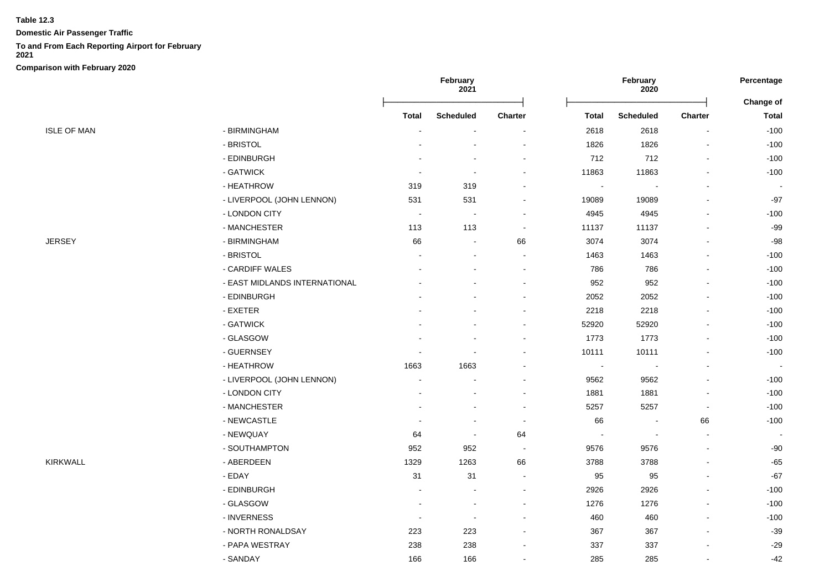**Domestic Air Passenger Traffic**

## **To and From Each Reporting Airport for February**

**2021**

|                    |                               | February<br>2021 |                          | February<br>2020         |                          |                          | Percentage               |                                  |
|--------------------|-------------------------------|------------------|--------------------------|--------------------------|--------------------------|--------------------------|--------------------------|----------------------------------|
|                    |                               | <b>Total</b>     | <b>Scheduled</b>         | Charter                  | <b>Total</b>             | <b>Scheduled</b>         | Charter                  | <b>Change of</b><br><b>Total</b> |
| <b>ISLE OF MAN</b> | - BIRMINGHAM                  |                  |                          |                          | 2618                     | 2618                     |                          | $-100$                           |
|                    | - BRISTOL                     |                  |                          |                          | 1826                     | 1826                     |                          | $-100$                           |
|                    | - EDINBURGH                   |                  |                          | $\blacksquare$           | 712                      | 712                      |                          | $-100$                           |
|                    | - GATWICK                     | ٠                | $\overline{\phantom{a}}$ | $\blacksquare$           | 11863                    | 11863                    |                          | $-100$                           |
|                    | - HEATHROW                    | 319              | 319                      | ٠                        | $\overline{\phantom{a}}$ | $\sim$                   |                          | $\overline{\phantom{a}}$         |
|                    | - LIVERPOOL (JOHN LENNON)     | 531              | 531                      | $\blacksquare$           | 19089                    | 19089                    |                          | $-97$                            |
|                    | - LONDON CITY                 | $\sim$           | $\blacksquare$           |                          | 4945                     | 4945                     |                          | $-100$                           |
|                    | - MANCHESTER                  | 113              | 113                      | $\overline{\phantom{a}}$ | 11137                    | 11137                    |                          | $-99$                            |
| JERSEY             | - BIRMINGHAM                  | 66               | $\overline{a}$           | 66                       | 3074                     | 3074                     |                          | $-98$                            |
|                    | - BRISTOL                     |                  |                          |                          | 1463                     | 1463                     |                          | $-100$                           |
|                    | - CARDIFF WALES               |                  |                          | $\blacksquare$           | 786                      | 786                      |                          | $-100$                           |
|                    | - EAST MIDLANDS INTERNATIONAL |                  |                          |                          | 952                      | 952                      |                          | $-100$                           |
|                    | - EDINBURGH                   |                  |                          | $\sim$                   | 2052                     | 2052                     |                          | $-100$                           |
|                    | - EXETER                      |                  |                          |                          | 2218                     | 2218                     |                          | $-100$                           |
|                    | - GATWICK                     |                  |                          | $\sim$                   | 52920                    | 52920                    |                          | $-100$                           |
|                    | - GLASGOW                     |                  |                          | $\blacksquare$           | 1773                     | 1773                     |                          | $-100$                           |
|                    | - GUERNSEY                    |                  |                          |                          | 10111                    | 10111                    |                          | $-100$                           |
|                    | - HEATHROW                    | 1663             | 1663                     |                          | $\overline{\phantom{a}}$ | $\blacksquare$           |                          | $\sim$                           |
|                    | - LIVERPOOL (JOHN LENNON)     |                  |                          | $\overline{a}$           | 9562                     | 9562                     |                          | $-100$                           |
|                    | - LONDON CITY                 | ä,               |                          | $\blacksquare$           | 1881                     | 1881                     |                          | $-100$                           |
|                    | - MANCHESTER                  |                  |                          | $\sim$                   | 5257                     | 5257                     | $\overline{\phantom{a}}$ | $-100$                           |
|                    | - NEWCASTLE                   |                  |                          | $\blacksquare$           | 66                       | $\overline{\phantom{a}}$ | 66                       | $-100$                           |
|                    | - NEWQUAY                     | 64               | $\overline{\phantom{a}}$ | 64                       |                          | $\overline{\phantom{a}}$ |                          | $\overline{\phantom{a}}$         |
|                    | - SOUTHAMPTON                 | 952              | 952                      | $\overline{\phantom{a}}$ | 9576                     | 9576                     |                          | $-90$                            |
| KIRKWALL           | - ABERDEEN                    | 1329             | 1263                     | 66                       | 3788                     | 3788                     |                          | $-65$                            |
|                    | - EDAY                        | 31               | 31                       | $\sim$                   | 95                       | 95                       |                          | $-67$                            |
|                    | - EDINBURGH                   |                  |                          |                          | 2926                     | 2926                     |                          | $-100$                           |
|                    | - GLASGOW                     |                  |                          |                          | 1276                     | 1276                     |                          | $-100$                           |
|                    | - INVERNESS                   |                  | $\overline{\phantom{a}}$ |                          | 460                      | 460                      |                          | $-100$                           |
|                    | - NORTH RONALDSAY             | 223              | 223                      |                          | 367                      | 367                      |                          | $-39$                            |
|                    | - PAPA WESTRAY                | 238              | 238                      |                          | 337                      | 337                      |                          | $-29$                            |
|                    | - SANDAY                      | 166              | 166                      | $\blacksquare$           | 285                      | 285                      |                          | $-42$                            |
|                    |                               |                  |                          |                          |                          |                          |                          |                                  |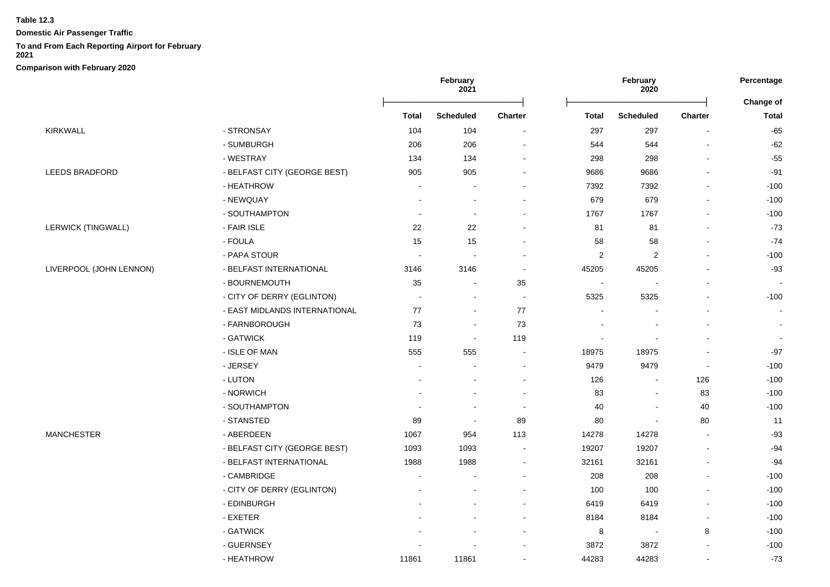**Domestic Air Passenger Traffic**

# **To and From Each Reporting Airport for February**

**2021**

|                         |                               | February<br>2021 |                          |                |                | February<br>2020        |                          | Percentage                |
|-------------------------|-------------------------------|------------------|--------------------------|----------------|----------------|-------------------------|--------------------------|---------------------------|
|                         |                               | <b>Total</b>     | <b>Scheduled</b>         | Charter        | <b>Total</b>   | <b>Scheduled</b>        | <b>Charter</b>           | Change of<br><b>Total</b> |
| KIRKWALL                | - STRONSAY                    | 104              | 104                      |                | 297            | 297                     |                          | $-65$                     |
|                         | - SUMBURGH                    | 206              | 206                      |                | 544            | 544                     |                          | $-62$                     |
|                         | - WESTRAY                     | 134              | 134                      | $\blacksquare$ | 298            | 298                     |                          | $-55$                     |
| LEEDS BRADFORD          | - BELFAST CITY (GEORGE BEST)  | 905              | 905                      |                | 9686           | 9686                    |                          | $-91$                     |
|                         | - HEATHROW                    | ÷,               |                          |                | 7392           | 7392                    |                          | $-100$                    |
|                         | - NEWQUAY                     | $\overline{a}$   |                          |                | 679            | 679                     |                          | $-100$                    |
|                         | - SOUTHAMPTON                 |                  | $\overline{\phantom{a}}$ |                | 1767           | 1767                    |                          | $-100$                    |
| LERWICK (TINGWALL)      | - FAIR ISLE                   | 22               | 22                       |                | 81             | 81                      |                          | $-73$                     |
|                         | - FOULA                       | 15               | 15                       |                | 58             | 58                      |                          | $-74$                     |
|                         | - PAPA STOUR                  |                  |                          |                | $\overline{2}$ | $\overline{\mathbf{c}}$ |                          | $-100$                    |
| LIVERPOOL (JOHN LENNON) | - BELFAST INTERNATIONAL       | 3146             | 3146                     | $\sim$         | 45205          | 45205                   |                          | $-93$                     |
|                         | - BOURNEMOUTH                 | 35               | $\sim$                   | 35             | $\sim$         |                         |                          |                           |
|                         | - CITY OF DERRY (EGLINTON)    | $\sim$           | $\blacksquare$           | $\sim$         | 5325           | 5325                    |                          | $-100$                    |
|                         | - EAST MIDLANDS INTERNATIONAL | 77               | $\blacksquare$           | $77$           |                |                         |                          |                           |
|                         | - FARNBOROUGH                 | 73               | $\blacksquare$           | 73             |                |                         |                          | $\blacksquare$            |
|                         | - GATWICK                     | 119              | $\blacksquare$           | 119            | $\blacksquare$ |                         |                          |                           |
|                         | - ISLE OF MAN                 | 555              | 555                      |                | 18975          | 18975                   |                          | $-97$                     |
|                         | - JERSEY                      |                  |                          |                | 9479           | 9479                    | $\blacksquare$           | $-100$                    |
|                         | - LUTON                       |                  |                          |                | 126            | $\overline{a}$          | 126                      | $-100$                    |
|                         | - NORWICH                     |                  |                          |                | 83             | $\overline{a}$          | 83                       | $-100$                    |
|                         | - SOUTHAMPTON                 |                  |                          |                | 40             | $\blacksquare$          | 40                       | $-100$                    |
|                         | - STANSTED                    | 89               | $\overline{\phantom{a}}$ | 89             | 80             | $\blacksquare$          | 80                       | 11                        |
| <b>MANCHESTER</b>       | - ABERDEEN                    | 1067             | 954                      | 113            | 14278          | 14278                   | $\blacksquare$           | $-93$                     |
|                         | - BELFAST CITY (GEORGE BEST)  | 1093             | 1093                     |                | 19207          | 19207                   | $\blacksquare$           | $-94$                     |
|                         | - BELFAST INTERNATIONAL       | 1988             | 1988                     |                | 32161          | 32161                   |                          | $-94$                     |
|                         | - CAMBRIDGE                   |                  |                          |                | 208            | 208                     |                          | $-100$                    |
|                         | - CITY OF DERRY (EGLINTON)    |                  |                          |                | 100            | 100                     |                          | $-100$                    |
|                         | - EDINBURGH                   |                  |                          |                | 6419           | 6419                    |                          | $-100$                    |
|                         | - EXETER                      |                  |                          | $\blacksquare$ | 8184           | 8184                    | $\overline{\phantom{a}}$ | $-100$                    |
|                         | - GATWICK                     |                  |                          |                | 8              | $\sim$                  | 8                        | $-100$                    |
|                         | - GUERNSEY                    |                  |                          |                | 3872           | 3872                    |                          | $-100$                    |
|                         | - HEATHROW                    | 11861            | 11861                    | $\sim$         | 44283          | 44283                   | $\sim$                   | $-73$                     |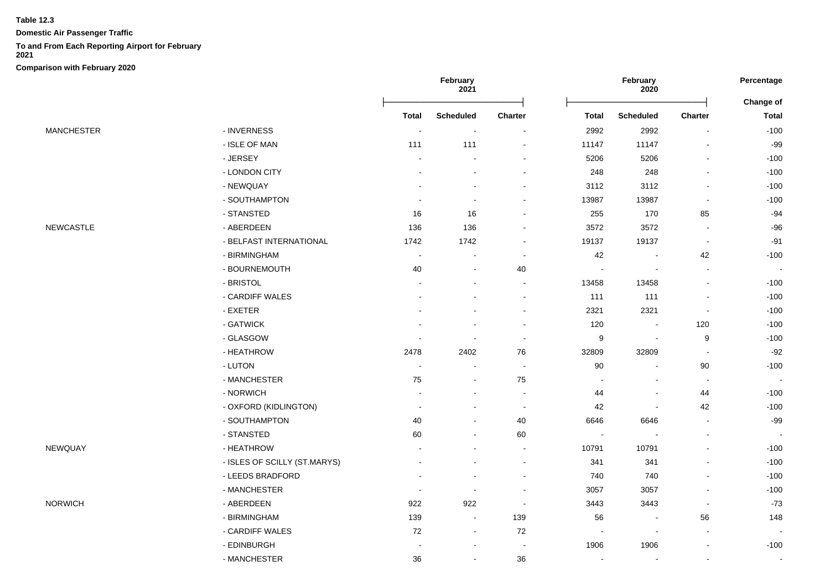**Domestic Air Passenger Traffic**

#### **To and From Each Reporting Airport for February**

**2021**

|                   |                              | February<br>2021 |                          | <b>February</b><br>2020      |                          |                          | Percentage               |                                  |
|-------------------|------------------------------|------------------|--------------------------|------------------------------|--------------------------|--------------------------|--------------------------|----------------------------------|
|                   |                              | <b>Total</b>     | <b>Scheduled</b>         | <b>Charter</b>               | <b>Total</b>             | <b>Scheduled</b>         | Charter                  | <b>Change of</b><br><b>Total</b> |
| <b>MANCHESTER</b> | - INVERNESS                  |                  |                          |                              | 2992                     | 2992                     |                          | $-100$                           |
|                   | - ISLE OF MAN                | 111              | 111                      | ۰                            | 11147                    | 11147                    |                          | $-99$                            |
|                   | - JERSEY                     |                  |                          |                              | 5206                     | 5206                     |                          | $-100$                           |
|                   | - LONDON CITY                |                  |                          | $\blacksquare$               | 248                      | 248                      | $\blacksquare$           | $-100$                           |
|                   | - NEWQUAY                    |                  |                          | $\blacksquare$               | 3112                     | 3112                     |                          | $-100$                           |
|                   | - SOUTHAMPTON                | $\blacksquare$   |                          | $\qquad \qquad \blacksquare$ | 13987                    | 13987                    | $\blacksquare$           | $-100$                           |
|                   | - STANSTED                   | 16               | 16                       | ۰                            | 255                      | 170                      | 85                       | $-94$                            |
| NEWCASTLE         | - ABERDEEN                   | 136              | 136                      |                              | 3572                     | 3572                     | $\overline{\phantom{a}}$ | $-96$                            |
|                   | - BELFAST INTERNATIONAL      | 1742             | 1742                     |                              | 19137                    | 19137                    | $\overline{\phantom{a}}$ | $-91$                            |
|                   | - BIRMINGHAM                 | $\blacksquare$   |                          | $\sim$                       | 42                       |                          | 42                       | $-100$                           |
|                   | - BOURNEMOUTH                | 40               | $\blacksquare$           | 40                           |                          | $\overline{\phantom{a}}$ | $\blacksquare$           | $\sim$                           |
|                   | - BRISTOL                    |                  |                          | $\blacksquare$               | 13458                    | 13458                    | $\blacksquare$           | $-100$                           |
|                   | - CARDIFF WALES              |                  |                          | $\blacksquare$               | 111                      | 111                      | $\blacksquare$           | $-100$                           |
|                   | - EXETER                     |                  |                          | $\blacksquare$               | 2321                     | 2321                     | $\sim$                   | $-100$                           |
|                   | - GATWICK                    |                  |                          | $\sim$                       | 120                      | $\overline{\phantom{a}}$ | 120                      | $-100$                           |
|                   | - GLASGOW                    |                  |                          | $\blacksquare$               | 9                        | $\overline{\phantom{a}}$ | 9                        | $-100$                           |
|                   | - HEATHROW                   | 2478             | 2402                     | 76                           | 32809                    | 32809                    | $\blacksquare$           | $-92$                            |
|                   | - LUTON                      |                  |                          | ÷,                           | 90                       |                          | 90                       | $-100$                           |
|                   | - MANCHESTER                 | 75               | $\blacksquare$           | 75                           |                          |                          | $\sim$                   | $\sim$                           |
|                   | - NORWICH                    |                  |                          | $\blacksquare$               | 44                       | $\overline{\phantom{a}}$ | 44                       | $-100$                           |
|                   | - OXFORD (KIDLINGTON)        | $\overline{a}$   |                          | $\overline{\phantom{a}}$     | 42                       | $\overline{\phantom{a}}$ | 42                       | $-100$                           |
|                   | - SOUTHAMPTON                | 40               | $\overline{a}$           | 40                           | 6646                     | 6646                     | $\sim$                   | $-99$                            |
|                   | - STANSTED                   | 60               | $\overline{a}$           | 60                           | $\overline{\phantom{a}}$ | $\overline{\phantom{a}}$ | $\overline{\phantom{a}}$ | $\sim$                           |
| NEWQUAY           | - HEATHROW                   |                  |                          | $\blacksquare$               | 10791                    | 10791                    | $\blacksquare$           | $-100$                           |
|                   | - ISLES OF SCILLY (ST.MARYS) |                  |                          | ۰                            | 341                      | 341                      |                          | $-100$                           |
|                   | - LEEDS BRADFORD             |                  |                          |                              | 740                      | 740                      |                          | $-100$                           |
|                   | - MANCHESTER                 | $\sim$           | $\sim$                   | $\sim$                       | 3057                     | 3057                     |                          | $-100$                           |
| <b>NORWICH</b>    | - ABERDEEN                   | 922              | 922                      | $\sim$                       | 3443                     | 3443                     | $\overline{\phantom{a}}$ | $-73$                            |
|                   | - BIRMINGHAM                 | 139              | $\sim$                   | 139                          | 56                       | $\blacksquare$           | 56                       | 148                              |
|                   | - CARDIFF WALES              | $72\,$           | $\blacksquare$           | 72                           | $\overline{\phantom{a}}$ | $\overline{\phantom{a}}$ | $\overline{\phantom{a}}$ |                                  |
|                   | - EDINBURGH                  |                  | $\overline{\phantom{a}}$ | $\blacksquare$               | 1906                     | 1906                     | $\blacksquare$           | $-100$                           |
|                   | - MANCHESTER                 | 36               | $\blacksquare$           | 36                           | $\blacksquare$           | $\blacksquare$           | $\blacksquare$           | $\blacksquare$                   |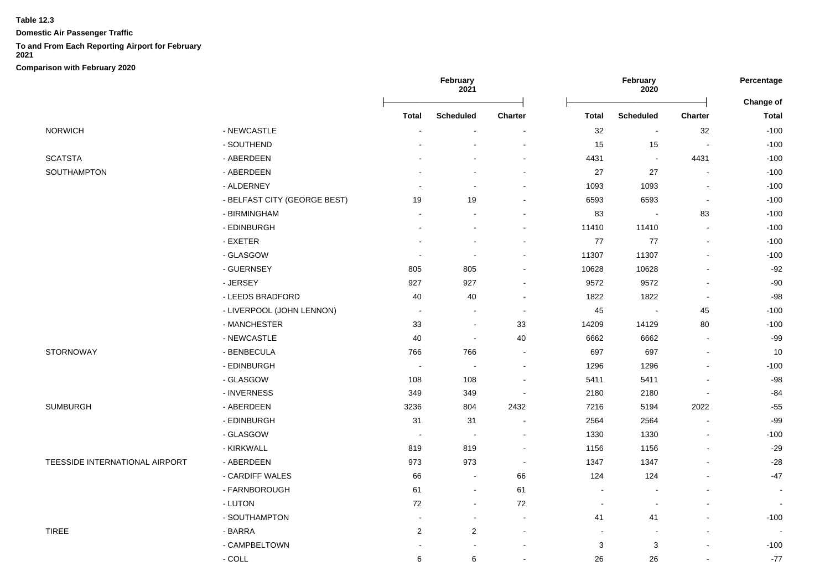**Domestic Air Passenger Traffic**

## **To and From Each Reporting Airport for February**

**2021**

|                                |                              |                | February<br>2021         |                          | February<br>2020 |                          | Percentage<br>Change of  |              |
|--------------------------------|------------------------------|----------------|--------------------------|--------------------------|------------------|--------------------------|--------------------------|--------------|
|                                |                              | <b>Total</b>   | <b>Scheduled</b>         | Charter                  | <b>Total</b>     | <b>Scheduled</b>         | <b>Charter</b>           | <b>Total</b> |
| <b>NORWICH</b>                 | - NEWCASTLE                  |                |                          |                          | $32\,$           | $\sim$                   | 32                       | $-100$       |
|                                | - SOUTHEND                   |                |                          | $\overline{a}$           | 15               | 15                       | $\sim$                   | $-100$       |
| <b>SCATSTA</b>                 | - ABERDEEN                   |                |                          | $\blacksquare$           | 4431             | $\blacksquare$           | 4431                     | $-100$       |
| SOUTHAMPTON                    | - ABERDEEN                   |                |                          | $\blacksquare$           | 27               | 27                       | $\mathbf{r}$             | $-100$       |
|                                | - ALDERNEY                   |                | $\blacksquare$           | $\blacksquare$           | 1093             | 1093                     | $\overline{\phantom{a}}$ | $-100$       |
|                                | - BELFAST CITY (GEORGE BEST) | 19             | 19                       | $\blacksquare$           | 6593             | 6593                     | $\blacksquare$           | $-100$       |
|                                | - BIRMINGHAM                 | $\sim$         | $\sim$                   | $\blacksquare$           | 83               | $\overline{\phantom{a}}$ | 83                       | $-100$       |
|                                | - EDINBURGH                  |                | $\blacksquare$           |                          | 11410            | 11410                    | $\sim$                   | $-100$       |
|                                | - EXETER                     |                | $\sim$                   | $\overline{a}$           | $77$             | 77                       | $\sim$                   | $-100$       |
|                                | - GLASGOW                    | $\sim$         | $\sim$                   | $\blacksquare$           | 11307            | 11307                    | $\blacksquare$           | $-100$       |
|                                | - GUERNSEY                   | 805            | 805                      | ä,                       | 10628            | 10628                    | $\blacksquare$           | $-92$        |
|                                | - JERSEY                     | 927            | 927                      | $\blacksquare$           | 9572             | 9572                     | $\overline{\phantom{a}}$ | $-90$        |
|                                | - LEEDS BRADFORD             | 40             | 40                       | $\blacksquare$           | 1822             | 1822                     | $\blacksquare$           | $-98$        |
|                                | - LIVERPOOL (JOHN LENNON)    | $\blacksquare$ | $\blacksquare$           | $\overline{a}$           | 45               | $\blacksquare$           | 45                       | $-100$       |
|                                | - MANCHESTER                 | $33\,$         | $\overline{\phantom{a}}$ | 33                       | 14209            | 14129                    | 80                       | $-100$       |
|                                | - NEWCASTLE                  | 40             | $\sim$                   | 40                       | 6662             | 6662                     | $\sim$                   | $-99$        |
| <b>STORNOWAY</b>               | - BENBECULA                  | 766            | 766                      | $\overline{\phantom{a}}$ | 697              | 697                      | $\overline{\phantom{a}}$ | 10           |
|                                | - EDINBURGH                  | $\sim$         |                          | $\overline{a}$           | 1296             | 1296                     | $\sim$                   | $-100$       |
|                                | - GLASGOW                    | 108            | 108                      | $\blacksquare$           | 5411             | 5411                     | $\blacksquare$           | $-98$        |
|                                | - INVERNESS                  | 349            | 349                      | $\blacksquare$           | 2180             | 2180                     | $\blacksquare$           | $-84$        |
| <b>SUMBURGH</b>                | - ABERDEEN                   | 3236           | 804                      | 2432                     | 7216             | 5194                     | 2022                     | $-55$        |
|                                | - EDINBURGH                  | 31             | 31                       | $\blacksquare$           | 2564             | 2564                     | $\sim$                   | $-99$        |
|                                | - GLASGOW                    | $\blacksquare$ | $\sim$                   | $\blacksquare$           | 1330             | 1330                     | $\blacksquare$           | $-100$       |
|                                | - KIRKWALL                   | 819            | 819                      | $\overline{a}$           | 1156             | 1156                     | $\blacksquare$           | $-29$        |
| TEESSIDE INTERNATIONAL AIRPORT | - ABERDEEN                   | 973            | 973                      | $\blacksquare$           | 1347             | 1347                     | $\blacksquare$           | $-28$        |
|                                | - CARDIFF WALES              | 66             | $\blacksquare$           | 66                       | 124              | 124                      | $\sim$                   | $-47$        |
|                                | - FARNBOROUGH                | 61             | $\blacksquare$           | 61                       | $\blacksquare$   |                          | $\sim$                   | $\sim$       |
|                                | - LUTON                      | 72             | $\blacksquare$           | 72                       | $\blacksquare$   | $\blacksquare$           | $\blacksquare$           | $\sim$       |
|                                | - SOUTHAMPTON                | $\sim$         | $\blacksquare$           | $\blacksquare$           | 41               | 41                       | $\overline{a}$           | $-100$       |
| <b>TIREE</b>                   | - BARRA                      | $\overline{c}$ | $\overline{2}$           | $\blacksquare$           | $\sim$           | $\blacksquare$           | $\blacksquare$           |              |
|                                | - CAMPBELTOWN                |                |                          | $\blacksquare$           | 3                | 3                        | $\overline{a}$           | $-100$       |
|                                | $-COLL$                      | 6              | 6                        | $\overline{a}$           | 26               | 26                       | $\blacksquare$           | $-77$        |